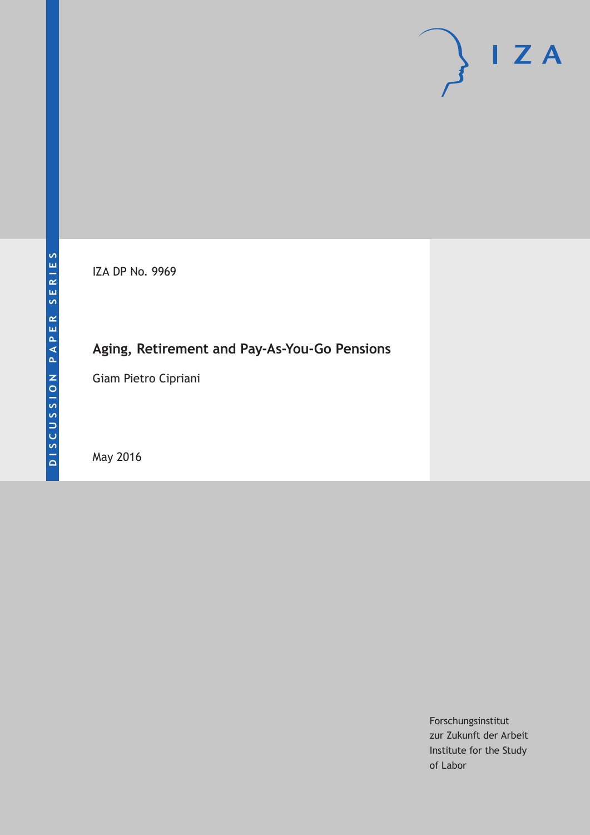IZA DP No. 9969

## **Aging, Retirement and Pay-As-You-Go Pensions**

Giam Pietro Cipriani

May 2016

Forschungsinstitut zur Zukunft der Arbeit Institute for the Study of Labor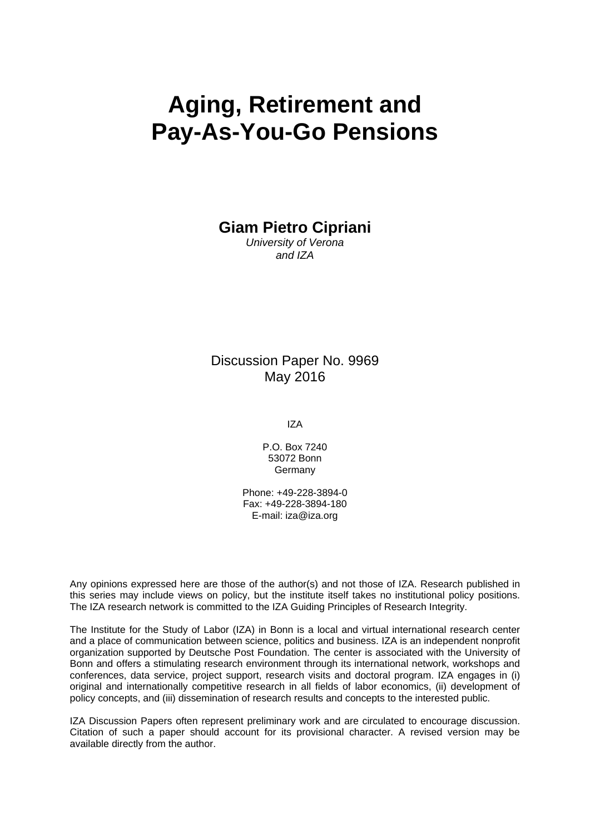# **Aging, Retirement and Pay-As-You-Go Pensions**

**Giam Pietro Cipriani** 

*University of Verona and IZA* 

#### Discussion Paper No. 9969 May 2016

IZA

P.O. Box 7240 53072 Bonn Germany

Phone: +49-228-3894-0 Fax: +49-228-3894-180 E-mail: iza@iza.org

Any opinions expressed here are those of the author(s) and not those of IZA. Research published in this series may include views on policy, but the institute itself takes no institutional policy positions. The IZA research network is committed to the IZA Guiding Principles of Research Integrity.

The Institute for the Study of Labor (IZA) in Bonn is a local and virtual international research center and a place of communication between science, politics and business. IZA is an independent nonprofit organization supported by Deutsche Post Foundation. The center is associated with the University of Bonn and offers a stimulating research environment through its international network, workshops and conferences, data service, project support, research visits and doctoral program. IZA engages in (i) original and internationally competitive research in all fields of labor economics, (ii) development of policy concepts, and (iii) dissemination of research results and concepts to the interested public.

IZA Discussion Papers often represent preliminary work and are circulated to encourage discussion. Citation of such a paper should account for its provisional character. A revised version may be available directly from the author.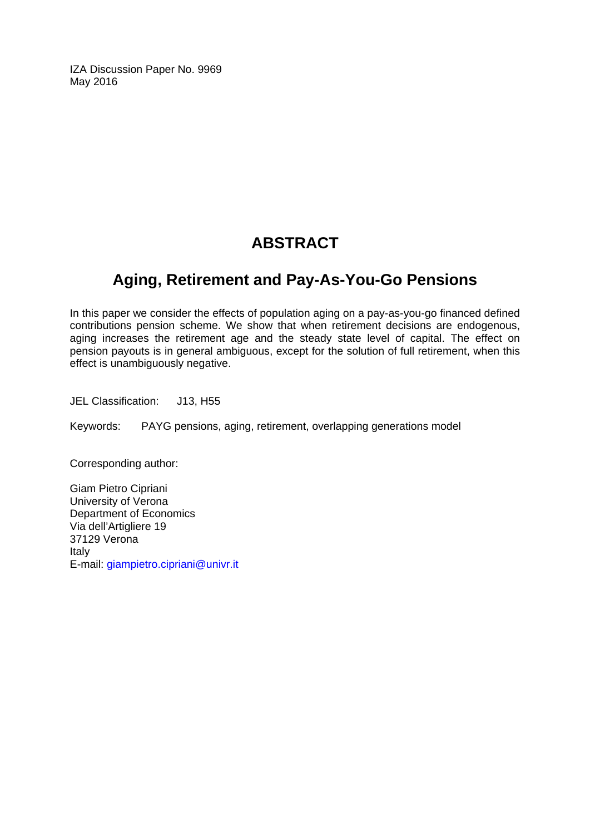IZA Discussion Paper No. 9969 May 2016

## **ABSTRACT**

### **Aging, Retirement and Pay-As-You-Go Pensions**

In this paper we consider the effects of population aging on a pay-as-you-go financed defined contributions pension scheme. We show that when retirement decisions are endogenous, aging increases the retirement age and the steady state level of capital. The effect on pension payouts is in general ambiguous, except for the solution of full retirement, when this effect is unambiguously negative.

JEL Classification: J13, H55

Keywords: PAYG pensions, aging, retirement, overlapping generations model

Corresponding author:

Giam Pietro Cipriani University of Verona Department of Economics Via dell'Artigliere 19 37129 Verona Italy E-mail: giampietro.cipriani@univr.it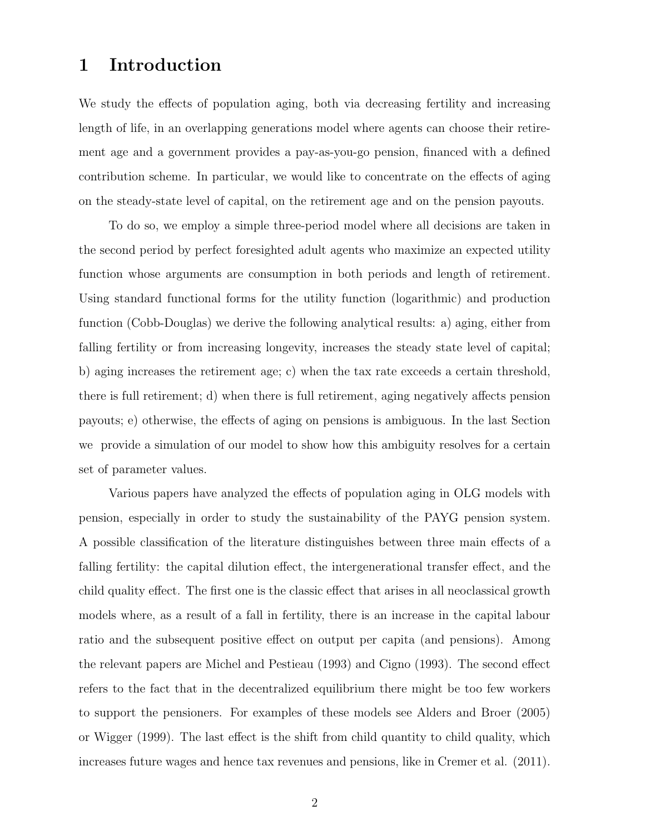#### 1 Introduction

We study the effects of population aging, both via decreasing fertility and increasing length of life, in an overlapping generations model where agents can choose their retirement age and a government provides a pay-as-you-go pension, financed with a defined contribution scheme. In particular, we would like to concentrate on the effects of aging on the steady-state level of capital, on the retirement age and on the pension payouts.

To do so, we employ a simple three-period model where all decisions are taken in the second period by perfect foresighted adult agents who maximize an expected utility function whose arguments are consumption in both periods and length of retirement. Using standard functional forms for the utility function (logarithmic) and production function (Cobb-Douglas) we derive the following analytical results: a) aging, either from falling fertility or from increasing longevity, increases the steady state level of capital; b) aging increases the retirement age; c) when the tax rate exceeds a certain threshold, there is full retirement; d) when there is full retirement, aging negatively affects pension payouts; e) otherwise, the effects of aging on pensions is ambiguous. In the last Section we provide a simulation of our model to show how this ambiguity resolves for a certain set of parameter values.

Various papers have analyzed the effects of population aging in OLG models with pension, especially in order to study the sustainability of the PAYG pension system. A possible classification of the literature distinguishes between three main effects of a falling fertility: the capital dilution effect, the intergenerational transfer effect, and the child quality effect. The first one is the classic effect that arises in all neoclassical growth models where, as a result of a fall in fertility, there is an increase in the capital labour ratio and the subsequent positive effect on output per capita (and pensions). Among the relevant papers are Michel and Pestieau (1993) and Cigno (1993). The second effect refers to the fact that in the decentralized equilibrium there might be too few workers to support the pensioners. For examples of these models see Alders and Broer (2005) or Wigger (1999). The last effect is the shift from child quantity to child quality, which increases future wages and hence tax revenues and pensions, like in Cremer et al. (2011).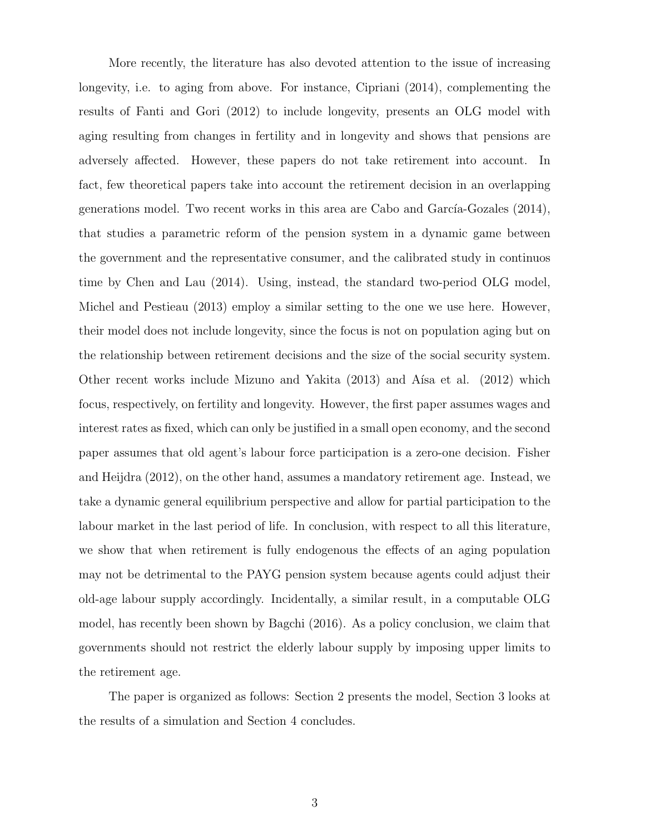More recently, the literature has also devoted attention to the issue of increasing longevity, i.e. to aging from above. For instance, Cipriani (2014), complementing the results of Fanti and Gori (2012) to include longevity, presents an OLG model with aging resulting from changes in fertility and in longevity and shows that pensions are adversely affected. However, these papers do not take retirement into account. In fact, few theoretical papers take into account the retirement decision in an overlapping generations model. Two recent works in this area are Cabo and García-Gozales  $(2014)$ , that studies a parametric reform of the pension system in a dynamic game between the government and the representative consumer, and the calibrated study in continuos time by Chen and Lau (2014). Using, instead, the standard two-period OLG model, Michel and Pestieau (2013) employ a similar setting to the one we use here. However, their model does not include longevity, since the focus is not on population aging but on the relationship between retirement decisions and the size of the social security system. Other recent works include Mizuno and Yakita  $(2013)$  and A $\text{fsa et al.}$   $(2012)$  which focus, respectively, on fertility and longevity. However, the first paper assumes wages and interest rates as fixed, which can only be justified in a small open economy, and the second paper assumes that old agent's labour force participation is a zero-one decision. Fisher and Heijdra (2012), on the other hand, assumes a mandatory retirement age. Instead, we take a dynamic general equilibrium perspective and allow for partial participation to the labour market in the last period of life. In conclusion, with respect to all this literature, we show that when retirement is fully endogenous the effects of an aging population may not be detrimental to the PAYG pension system because agents could adjust their old-age labour supply accordingly. Incidentally, a similar result, in a computable OLG model, has recently been shown by Bagchi (2016). As a policy conclusion, we claim that governments should not restrict the elderly labour supply by imposing upper limits to the retirement age.

The paper is organized as follows: Section 2 presents the model, Section 3 looks at the results of a simulation and Section 4 concludes.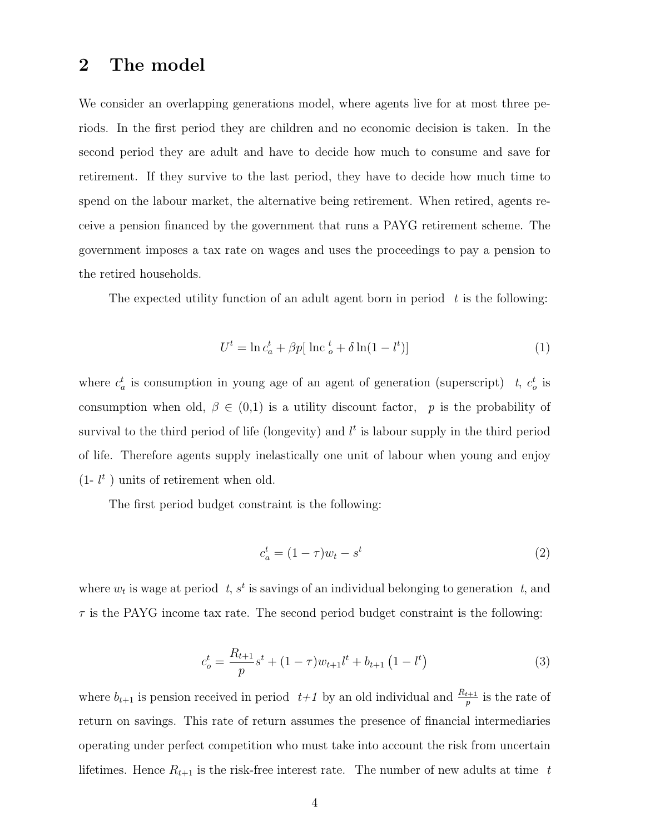#### 2 The model

We consider an overlapping generations model, where agents live for at most three periods. In the first period they are children and no economic decision is taken. In the second period they are adult and have to decide how much to consume and save for retirement. If they survive to the last period, they have to decide how much time to spend on the labour market, the alternative being retirement. When retired, agents receive a pension financed by the government that runs a PAYG retirement scheme. The government imposes a tax rate on wages and uses the proceedings to pay a pension to the retired households.

The expected utility function of an adult agent born in period  $t$  is the following:

$$
U^t = \ln c_a^t + \beta p [\ln c \frac{t}{\rho} + \delta \ln(1 - l^t)] \tag{1}
$$

where  $c_a^t$  is consumption in young age of an agent of generation (superscript) t,  $c_o^t$  is consumption when old,  $\beta \in (0,1)$  is a utility discount factor, p is the probability of survival to the third period of life (longevity) and  $l<sup>t</sup>$  is labour supply in the third period of life. Therefore agents supply inelastically one unit of labour when young and enjoy  $(1 - l^t)$  units of retirement when old.

The first period budget constraint is the following:

$$
c_a^t = (1 - \tau)w_t - s^t \tag{2}
$$

where  $w_t$  is wage at period  $t, s^t$  is savings of an individual belonging to generation  $t$ , and  $\tau$  is the PAYG income tax rate. The second period budget constraint is the following:

$$
c_o^t = \frac{R_{t+1}}{p} s^t + (1 - \tau) w_{t+1} l^t + b_{t+1} (1 - l^t)
$$
\n(3)

where  $b_{t+1}$  is pension received in period  $t+1$  by an old individual and  $\frac{R_{t+1}}{p}$  is the rate of return on savings. This rate of return assumes the presence of financial intermediaries operating under perfect competition who must take into account the risk from uncertain lifetimes. Hence  $R_{t+1}$  is the risk-free interest rate. The number of new adults at time t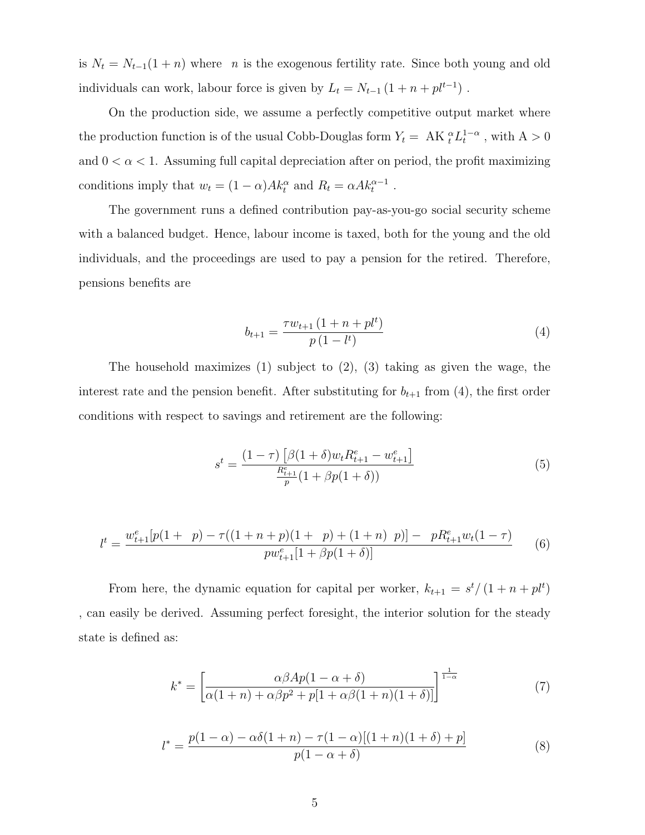is  $N_t = N_{t-1}(1+n)$  where n is the exogenous fertility rate. Since both young and old individuals can work, labour force is given by  $L_t = N_{t-1} (1 + n + p l^{t-1})$ .

On the production side, we assume a perfectly competitive output market where the production function is of the usual Cobb-Douglas form  $Y_t = AK_t^{\alpha}L_t^{1-\alpha}$ , with  $A > 0$ and  $0 < \alpha < 1$ . Assuming full capital depreciation after on period, the profit maximizing conditions imply that  $w_t = (1 - \alpha)Ak_t^{\alpha}$  and  $R_t = \alpha Ak_t^{\alpha-1}$ .

The government runs a defined contribution pay-as-you-go social security scheme with a balanced budget. Hence, labour income is taxed, both for the young and the old individuals, and the proceedings are used to pay a pension for the retired. Therefore, pensions benefits are

$$
b_{t+1} = \frac{\tau w_{t+1} (1 + n + p l^t)}{p (1 - l^t)}
$$
\n<sup>(4)</sup>

The household maximizes (1) subject to (2), (3) taking as given the wage, the interest rate and the pension benefit. After substituting for  $b_{t+1}$  from (4), the first order conditions with respect to savings and retirement are the following:

$$
s^{t} = \frac{(1-\tau)\left[\beta(1+\delta)w_{t}R_{t+1}^{e} - w_{t+1}^{e}\right]}{\frac{R_{t+1}^{e}}{p}(1+\beta p(1+\delta))}
$$
(5)

$$
l^{t} = \frac{w_{t+1}^{e}[p(1 + p) - \tau((1 + n + p)(1 + p) + (1 + n) p)] - pR_{t+1}^{e}w_{t}(1 - \tau)}{pw_{t+1}^{e}[1 + \beta p(1 + \delta)]}
$$
(6)

From here, the dynamic equation for capital per worker,  $k_{t+1} = s^{t}/(1 + n + pt^{t})$ , can easily be derived. Assuming perfect foresight, the interior solution for the steady state is defined as:

$$
k^* = \left[\frac{\alpha\beta Ap(1-\alpha+\delta)}{\alpha(1+n) + \alpha\beta p^2 + p[1+\alpha\beta(1+n)(1+\delta)]}\right]^{\frac{1}{1-\alpha}}
$$
(7)

$$
l^* = \frac{p(1-\alpha) - \alpha\delta(1+n) - \tau(1-\alpha)[(1+n)(1+\delta) + p]}{p(1-\alpha+\delta)}
$$
(8)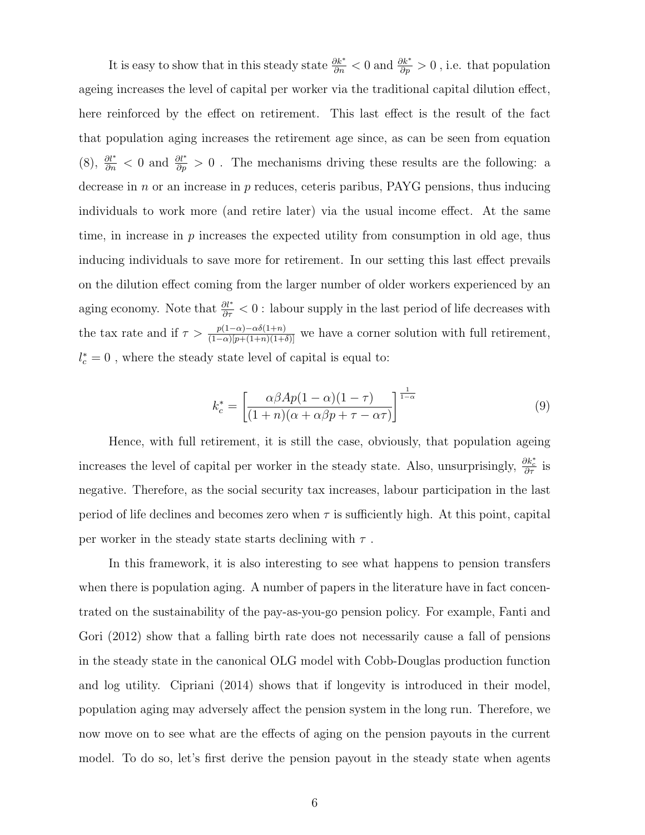It is easy to show that in this steady state  $\frac{\partial k^*}{\partial n} < 0$  and  $\frac{\partial k^*}{\partial p} > 0$ , i.e. that population ageing increases the level of capital per worker via the traditional capital dilution effect, here reinforced by the effect on retirement. This last effect is the result of the fact that population aging increases the retirement age since, as can be seen from equation (8),  $\frac{\partial l^*}{\partial n}$  < 0 and  $\frac{\partial l^*}{\partial p}$  > 0. The mechanisms driving these results are the following: a decrease in  $n$  or an increase in  $p$  reduces, ceteris paribus, PAYG pensions, thus inducing individuals to work more (and retire later) via the usual income effect. At the same time, in increase in  $p$  increases the expected utility from consumption in old age, thus inducing individuals to save more for retirement. In our setting this last effect prevails on the dilution effect coming from the larger number of older workers experienced by an aging economy. Note that  $\frac{\partial l^*}{\partial \tau} < 0$ : labour supply in the last period of life decreases with the tax rate and if  $\tau > \frac{p(1-\alpha)-\alpha\delta(1+n)}{(1-\alpha)[p+(1+n)(1+\delta)]}$  we have a corner solution with full retirement,  $l_c^\ast=0$  , where the steady state level of capital is equal to:

$$
k_c^* = \left[\frac{\alpha \beta A p (1 - \alpha)(1 - \tau)}{(1 + n)(\alpha + \alpha \beta p + \tau - \alpha \tau)}\right]^{\frac{1}{1 - \alpha}}
$$
(9)

Hence, with full retirement, it is still the case, obviously, that population ageing increases the level of capital per worker in the steady state. Also, unsurprisingly,  $\frac{\partial k_c^*}{\partial \tau}$  is negative. Therefore, as the social security tax increases, labour participation in the last period of life declines and becomes zero when  $\tau$  is sufficiently high. At this point, capital per worker in the steady state starts declining with  $\tau$ .

In this framework, it is also interesting to see what happens to pension transfers when there is population aging. A number of papers in the literature have in fact concentrated on the sustainability of the pay-as-you-go pension policy. For example, Fanti and Gori (2012) show that a falling birth rate does not necessarily cause a fall of pensions in the steady state in the canonical OLG model with Cobb-Douglas production function and log utility. Cipriani (2014) shows that if longevity is introduced in their model, population aging may adversely affect the pension system in the long run. Therefore, we now move on to see what are the effects of aging on the pension payouts in the current model. To do so, let's first derive the pension payout in the steady state when agents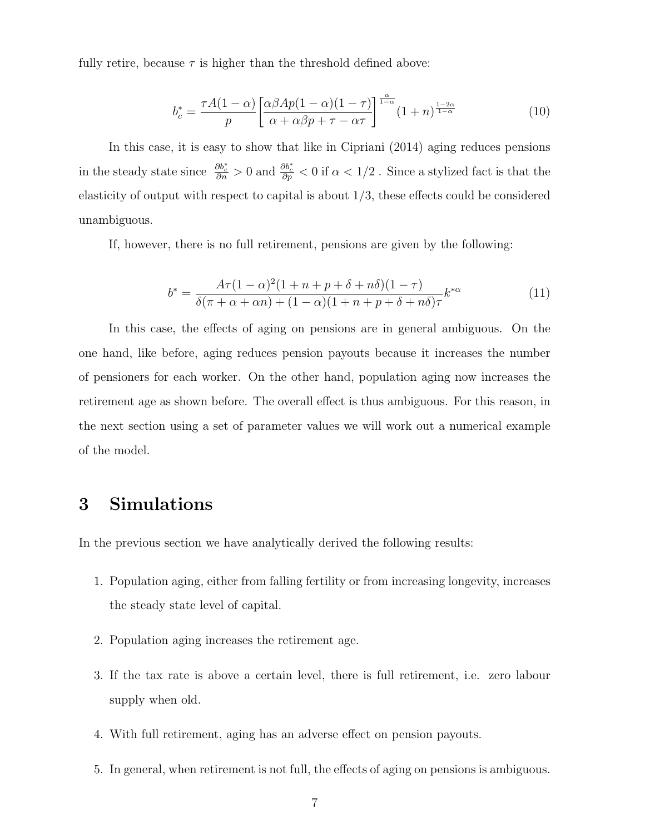fully retire, because  $\tau$  is higher than the threshold defined above:

$$
b_c^* = \frac{\tau A (1 - \alpha)}{p} \left[ \frac{\alpha \beta A p (1 - \alpha) (1 - \tau)}{\alpha + \alpha \beta p + \tau - \alpha \tau} \right]^\frac{\alpha}{1 - \alpha} (1 + n)^{\frac{1 - 2\alpha}{1 - \alpha}} \tag{10}
$$

In this case, it is easy to show that like in Cipriani (2014) aging reduces pensions in the steady state since  $\frac{\partial b_c^*}{\partial n} > 0$  and  $\frac{\partial b_c^*}{\partial p} < 0$  if  $\alpha < 1/2$ . Since a stylized fact is that the elasticity of output with respect to capital is about 1/3, these effects could be considered unambiguous.

If, however, there is no full retirement, pensions are given by the following:

$$
b^* = \frac{A\tau(1-\alpha)^2(1+n+p+\delta+n\delta)(1-\tau)}{\delta(\pi+\alpha+\alpha n) + (1-\alpha)(1+n+p+\delta+n\delta)\tau}k^{*\alpha}
$$
(11)

In this case, the effects of aging on pensions are in general ambiguous. On the one hand, like before, aging reduces pension payouts because it increases the number of pensioners for each worker. On the other hand, population aging now increases the retirement age as shown before. The overall effect is thus ambiguous. For this reason, in the next section using a set of parameter values we will work out a numerical example of the model.

#### 3 Simulations

In the previous section we have analytically derived the following results:

- 1. Population aging, either from falling fertility or from increasing longevity, increases the steady state level of capital.
- 2. Population aging increases the retirement age.
- 3. If the tax rate is above a certain level, there is full retirement, i.e. zero labour supply when old.
- 4. With full retirement, aging has an adverse effect on pension payouts.
- 5. In general, when retirement is not full, the effects of aging on pensions is ambiguous.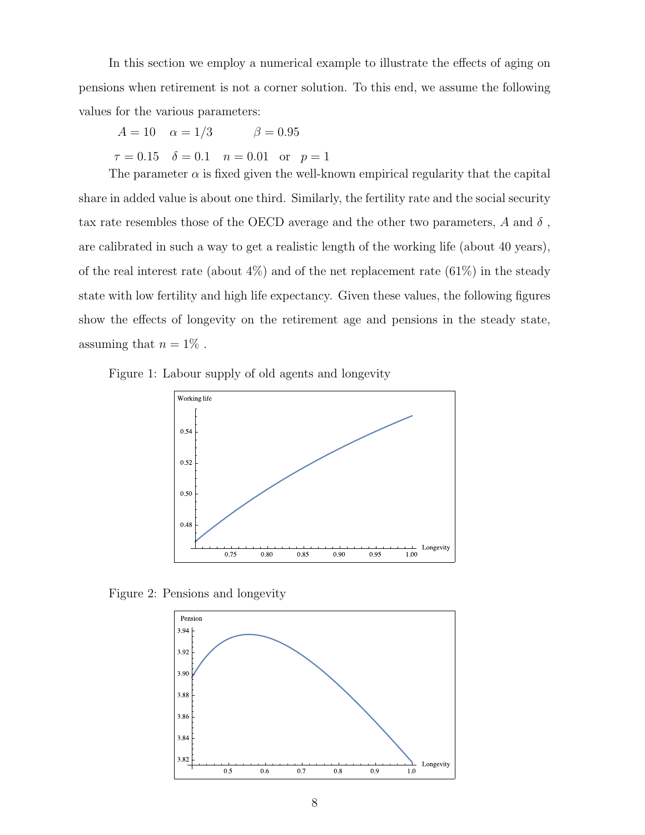In this section we employ a numerical example to illustrate the effects of aging on pensions when retirement is not a corner solution. To this end, we assume the following values for the various parameters:

 $A = 10 \quad \alpha = 1/3 \quad \beta = 0.95$  $\tau = 0.15$   $\delta = 0.1$   $n = 0.01$  or  $p = 1$ 

The parameter  $\alpha$  is fixed given the well-known empirical regularity that the capital share in added value is about one third. Similarly, the fertility rate and the social security tax rate resembles those of the OECD average and the other two parameters,  $A$  and  $\delta$ , are calibrated in such a way to get a realistic length of the working life (about 40 years), of the real interest rate (about  $4\%$ ) and of the net replacement rate  $(61\%)$  in the steady state with low fertility and high life expectancy. Given these values, the following figures show the effects of longevity on the retirement age and pensions in the steady state, assuming that  $n = 1\%$ .





Figure 2: Pensions and longevity

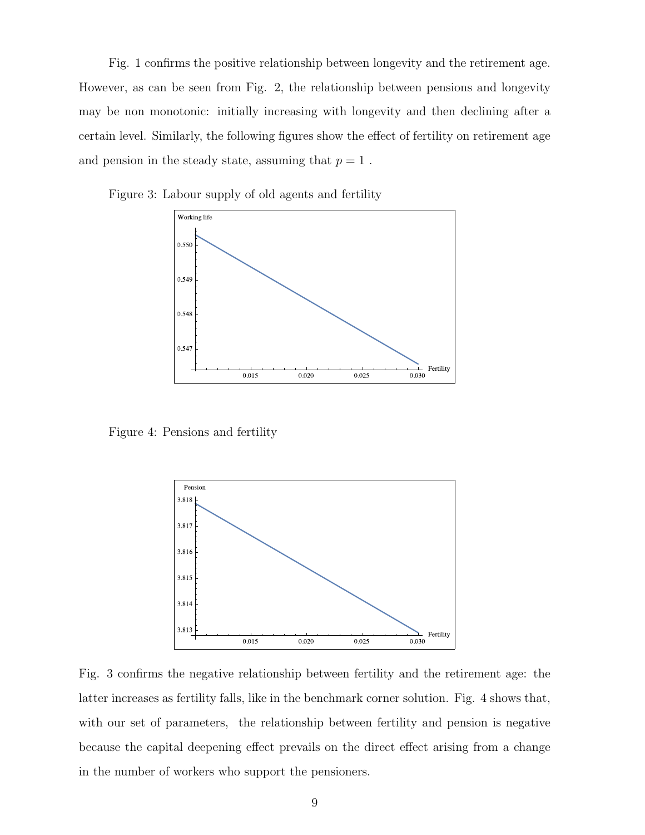Fig. 1 confirms the positive relationship between longevity and the retirement age. However, as can be seen from Fig. 2, the relationship between pensions and longevity may be non monotonic: initially increasing with longevity and then declining after a certain level. Similarly, the following figures show the effect of fertility on retirement age and pension in the steady state, assuming that  $p = 1$ .





Figure 4: Pensions and fertility



Fig. 3 confirms the negative relationship between fertility and the retirement age: the latter increases as fertility falls, like in the benchmark corner solution. Fig. 4 shows that, with our set of parameters, the relationship between fertility and pension is negative because the capital deepening effect prevails on the direct effect arising from a change in the number of workers who support the pensioners.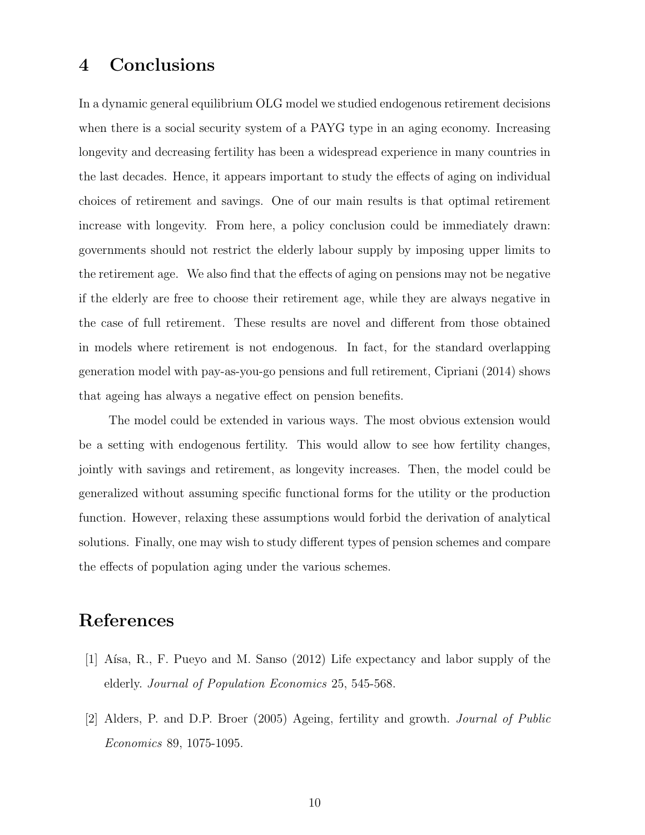#### 4 Conclusions

In a dynamic general equilibrium OLG model we studied endogenous retirement decisions when there is a social security system of a PAYG type in an aging economy. Increasing longevity and decreasing fertility has been a widespread experience in many countries in the last decades. Hence, it appears important to study the effects of aging on individual choices of retirement and savings. One of our main results is that optimal retirement increase with longevity. From here, a policy conclusion could be immediately drawn: governments should not restrict the elderly labour supply by imposing upper limits to the retirement age. We also find that the effects of aging on pensions may not be negative if the elderly are free to choose their retirement age, while they are always negative in the case of full retirement. These results are novel and different from those obtained in models where retirement is not endogenous. In fact, for the standard overlapping generation model with pay-as-you-go pensions and full retirement, Cipriani (2014) shows that ageing has always a negative effect on pension benefits.

The model could be extended in various ways. The most obvious extension would be a setting with endogenous fertility. This would allow to see how fertility changes, jointly with savings and retirement, as longevity increases. Then, the model could be generalized without assuming specific functional forms for the utility or the production function. However, relaxing these assumptions would forbid the derivation of analytical solutions. Finally, one may wish to study different types of pension schemes and compare the effects of population aging under the various schemes.

#### References

- [1] Aísa, R., F. Pueyo and M. Sanso (2012) Life expectancy and labor supply of the elderly. Journal of Population Economics 25, 545-568.
- [2] Alders, P. and D.P. Broer (2005) Ageing, fertility and growth. Journal of Public Economics 89, 1075-1095.